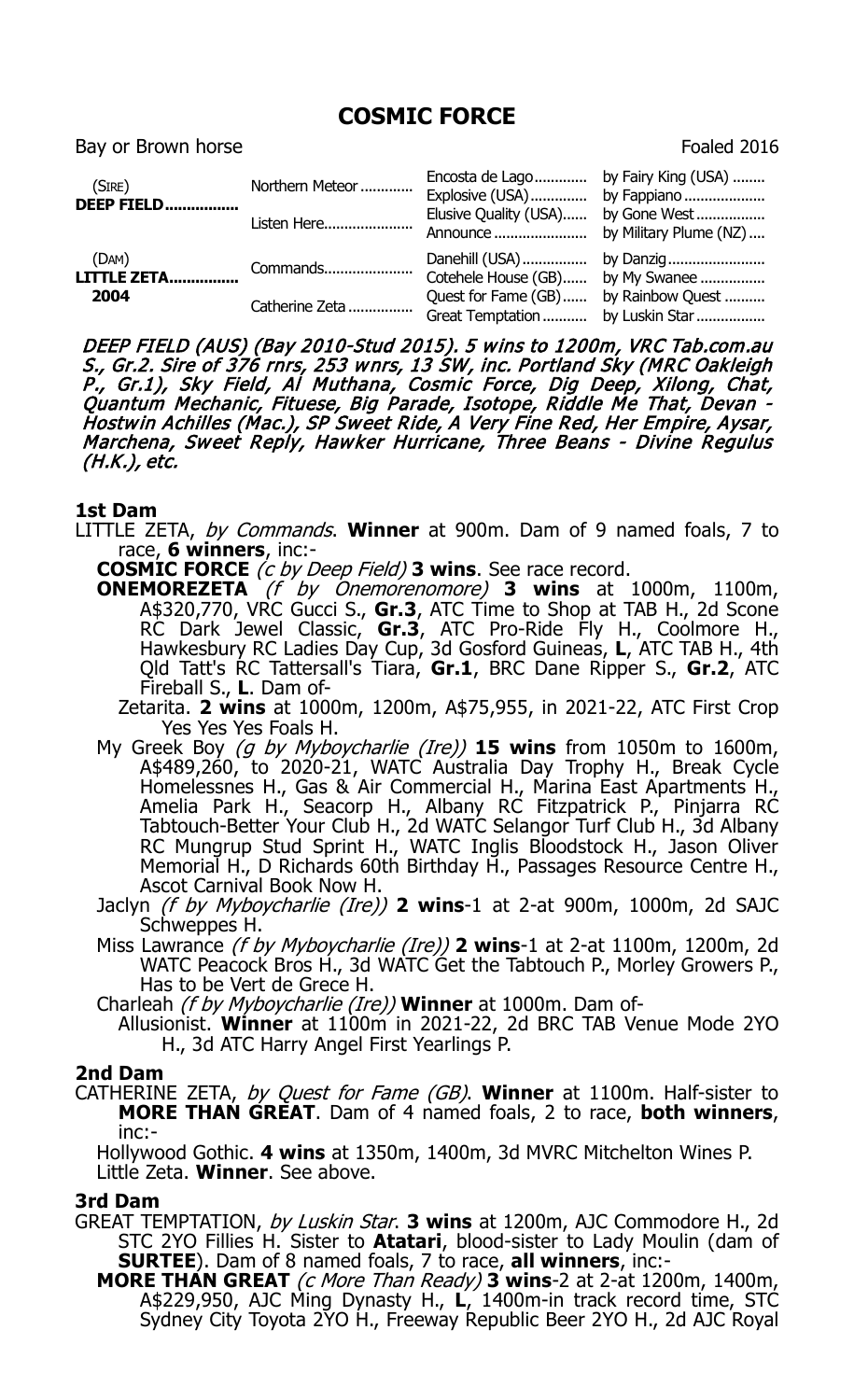# **COSMIC FORCE**

Bay or Brown horse **Foaled 2016** 

| (SIRE)<br><b>DEEP FIELD</b>         | Northern Meteor<br>Listen Here | Encosta de Lago by Fairy King (USA)<br>Explosive (USA) by Fappiano<br>Elusive Ouality (USA) | by Gone West                                         |
|-------------------------------------|--------------------------------|---------------------------------------------------------------------------------------------|------------------------------------------------------|
| (DAM)<br><b>LITTLE ZETA</b><br>2004 | Commands<br>Catherine Zeta     | Cotehele House (GB) by My Swanee<br>Quest for Fame (GB)                                     | by Rainbow Quest<br>Great Temptation  by Luskin Star |

DEEP FIELD (AUS) (Bay 2010-Stud 2015). 5 wins to 1200m, VRC Tab.com.au S., Gr.2. Sire of 376 rnrs, 253 wnrs, 13 SW, inc. Portland Sky (MRC Oakleigh P., Gr.1), Sky Field, Al Muthana, Cosmic Force, Dig Deep, Xilong, Chat, Quantum Mechanic, Fituese, Big Parade, Isotope, Riddle Me That, Devan - Hostwin Achilles (Mac.), SP Sweet Ride, A Very Fine Red, Her Empire, Aysar, Marchena, Sweet Reply, Hawker Hurricane, Three Beans - Divine Regulus (H.K.), etc.

## **1st Dam**

- LITTLE ZETA, by Commands. **Winner** at 900m. Dam of 9 named foals, 7 to race, **6 winners**, inc:-
	- **COSMIC FORCE** (c by Deep Field) **3 wins**. See race record.
	- **ONEMOREZETA** (f by Onemorenomore) **3 wins** at 1000m, 1100m, A\$320,770, VRC Gucci S., **Gr.3**, ATC Time to Shop at TAB H., 2d Scone RC Dark Jewel Classic, **Gr.3**, ATC Pro-Ride Fly H., Coolmore H., Hawkesbury RC Ladies Day Cup, 3d Gosford Guineas, **L**, ATC TAB H., 4th Qld Tatt's RC Tattersall's Tiara, **Gr.1**, BRC Dane Ripper S., **Gr.2**, ATC Fireball S., **L**. Dam of-
		- Zetarita. **2 wins** at 1000m, 1200m, A\$75,955, in 2021-22, ATC First Crop Yes Yes Yes Foals H.
	- My Greek Boy (g by Myboycharlie (Ire)) **15 wins** from 1050m to 1600m, A\$489,260, to 2020-21, WATC Australia Day Trophy H., Break Cycle Homelessnes H., Gas & Air Commercial H., Marina East Apartments H., Amelia Park H., Seacorp H., Albany RC Fitzpatrick P., Pinjarra RC Tabtouch-Better Your Club H., 2d WATC Selangor Turf Club H., 3d Albany RC Mungrup Stud Sprint H., WATC Inglis Bloodstock H., Jason Oliver Memorial H., D Richards 60th Birthday H., Passages Resource Centre H., Ascot Carnival Book Now H.
	- Jaclyn (f by Myboycharlie (Ire)) **2 wins**-1 at 2-at 900m, 1000m, 2d SAJC Schweppes H.
	- Miss Lawrance (f by Myboycharlie (Ire)) **2 wins**-1 at 2-at 1100m, 1200m, 2d WATC Peacock Bros H., 3d WATC Get the Tabtouch P., Morley Growers P., Has to be Vert de Grece H.
	- Charleah (f by Myboycharlie (Ire)) **Winner** at 1000m. Dam of-
		- Allusionist. **Winner** at 1100m in 2021-22, 2d BRC TAB Venue Mode 2YO H., 3d ATC Harry Angel First Yearlings P.

#### **2nd Dam**

CATHERINE ZETA, by Quest for Fame (GB). **Winner** at 1100m. Half-sister to **MORE THAN GREAT**. Dam of 4 named foals, 2 to race, **both winners**, inc:-

Hollywood Gothic. **4 wins** at 1350m, 1400m, 3d MVRC Mitchelton Wines P. Little Zeta. **Winner**. See above.

# **3rd Dam**

- GREAT TEMPTATION, by Luskin Star. **3 wins** at 1200m, AJC Commodore H., 2d STC 2YO Fillies H. Sister to **Atatari**, blood-sister to Lady Moulin (dam of **SURTEE**). Dam of 8 named foals, 7 to race, **all winners**, inc:-
	- **MORE THAN GREAT** (c More Than Ready) **3 wins**-2 at 2-at 1200m, 1400m, A\$229,950, AJC Ming Dynasty H., **L**, 1400m-in track record time, STC Sydney City Toyota 2YO H., Freeway Republic Beer 2YO H., 2d AJC Royal